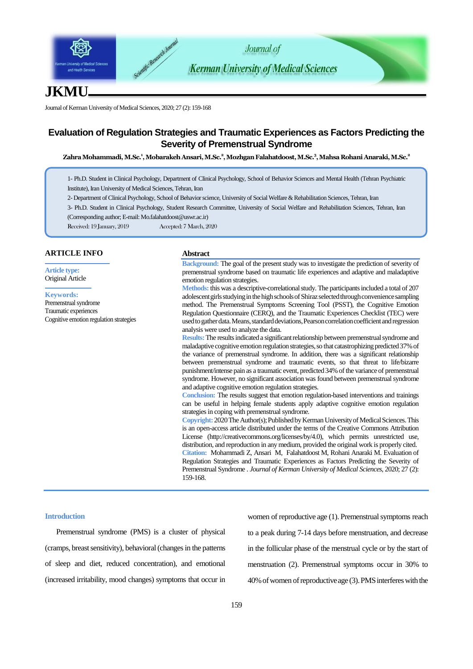

# **JKMU**

Journal of Kerman University of Medical Sciences, 2020; 27 (2): 159-168

## **Evaluation of Regulation Strategies and Traumatic Experiences as Factors Predicting the Severity of Premenstrual Syndrome**

**Zahra Mohammadi, M.Sc. 1 , Mobarakeh Ansari, M.Sc.<sup>2</sup> , Mozhgan Falahatdoost, M.Sc. 3 , Mahsa Rohani Anaraki, M.Sc.<sup>2</sup>**

1- Ph.D. Student in Clinical Psychology, Department of Clinical Psychology, School of Behavior Sciences and Mental Health (Tehran Psychiatric Institute), Iran University of Medical Sciences, Tehran, Iran

2- Department of Clinical Psychology, School of Behavior science, University of Social Welfare & Rehabilitation Sciences, Tehran, Iran

3- Ph.D. Student in Clinical Psychology, Student Research Committee, University of Social Welfare and Rehabilitation Sciences, Tehran, Iran (Corresponding author; E-mail: Mo.falahatdoost@uswr.ac.ir)

Received: 19 January, 2019 Accepted: 7 March, 2020

## **ARTICLE INFO**

**Article type:** Original Article

#### **Keywords:**

Premenstrual syndrome Traumatic experiences Cognitive emotion regulation strategies

#### **Abstract**

**Background:** The goal of the present study was to investigate the prediction of severity of premenstrual syndrome based on traumatic life experiences and adaptive and maladaptive emotion regulation strategies.

**Methods:** this was a descriptive-correlational study. The participants included a total of 207 adolescent girls studying in the high schools of Shiraz selected through convenience sampling method. The Premenstrual Symptoms Screening Tool (PSST), the Cognitive Emotion Regulation Questionnaire (CERQ), and the Traumatic Experiences Checklist (TEC) were used to gather data. Means, standard deviations, Pearson correlation coefficient and regression analysis were used to analyze the data.

**Results:**The results indicated a significant relationship between premenstrual syndrome and maladaptive cognitive emotion regulation strategies, so that catastrophizing predicted 37% of the variance of premenstrual syndrome. In addition, there was a significant relationship between premenstrual syndrome and traumatic events, so that threat to life/bizarre punishment/intense pain as a traumatic event, predicted 34% of the variance of premenstrual syndrome. However, no significant association was found between premenstrual syndrome and adaptive cognitive emotion regulation strategies.

**Conclusion:** The results suggest that emotion regulation-based interventions and trainings can be useful in helping female students apply adaptive cognitive emotion regulation strategies in coping with premenstrual syndrome.

**Copyright:** 2020The Author(s); Published by Kerman University of Medical Sciences. This is an open-access article distributed under the terms of the Creative Commons Attribution License (http://creativecommons.org/licenses/by/4.0), which permits unrestricted use, distribution, and reproduction in any medium, provided the original work is properly cited. **Citation:** Mohammadi Z, Ansari M, Falahatdoost M, Rohani Anaraki M. Evaluation of Regulation Strategies and Traumatic Experiences as Factors Predicting the Severity of Premenstrual Syndrome . *Journal of Kerman University of Medical Sciences*, 2020; 27 (2): 159-168.

### **Introduction**

Premenstrual syndrome (PMS) is a cluster of physical (cramps, breast sensitivity), behavioral (changes in the patterns of sleep and diet, reduced concentration), and emotional (increased irritability, mood changes) symptoms that occur in women of reproductive age (1). Premenstrual symptoms reach to a peak during 7-14 days before menstruation, and decrease in the follicular phase of the menstrual cycle or by the start of menstruation (2). Premenstrual symptoms occur in 30% to 40% of women of reproductive age (3). PMS interferes with the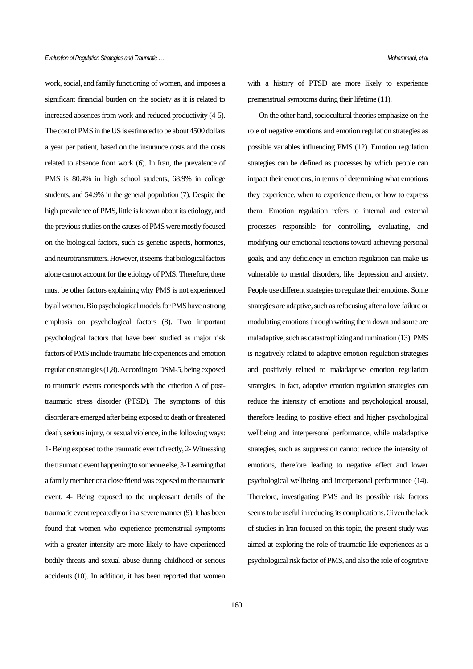work, social, and family functioning of women, and imposes a significant financial burden on the society as it is related to increased absences from work and reduced productivity (4-5). The cost of PMS in the US is estimated to be about 4500 dollars a year per patient, based on the insurance costs and the costs related to absence from work (6). In Iran, the prevalence of PMS is 80.4% in high school students, 68.9% in college students, and 54.9% in the general population (7). Despite the high prevalence of PMS, little is known about its etiology, and the previous studies on the causes of PMS were mostly focused on the biological factors, such as genetic aspects, hormones, and neurotransmitters. However, it seems that biological factors alone cannot account for the etiology of PMS. Therefore, there must be other factors explaining why PMS is not experienced by all women. Bio psychological models for PMS have a strong emphasis on psychological factors (8). Two important psychological factors that have been studied as major risk factors of PMS include traumatic life experiences and emotion regulation strategies (1,8). According to DSM-5, being exposed to traumatic events corresponds with the criterion A of posttraumatic stress disorder (PTSD). The symptoms of this disorder are emerged after being exposed to death or threatened death, serious injury, or sexual violence, in the following ways: 1-Being exposed to the traumatic event directly, 2-Witnessing the traumatic event happening to someone else, 3-Learning that a family member or a close friend was exposed to the traumatic event, 4- Being exposed to the unpleasant details of the traumatic event repeatedly or in a severe manner (9). It has been found that women who experience premenstrual symptoms with a greater intensity are more likely to have experienced bodily threats and sexual abuse during childhood or serious accidents (10). In addition, it has been reported that women with a history of PTSD are more likely to experience premenstrual symptoms during their lifetime (11).

On the other hand, sociocultural theories emphasize on the role of negative emotions and emotion regulation strategies as possible variables influencing PMS (12). Emotion regulation strategies can be defined as processes by which people can impact their emotions, in terms of determining what emotions they experience, when to experience them, or how to express them. Emotion regulation refers to internal and external processes responsible for controlling, evaluating, and modifying our emotional reactions toward achieving personal goals, and any deficiency in emotion regulation can make us vulnerable to mental disorders, like depression and anxiety. People use different strategies to regulate their emotions. Some strategies are adaptive, such as refocusing after a love failure or modulating emotions through writing them down and some are maladaptive, such as catastrophizing and rumination (13). PMS is negatively related to adaptive emotion regulation strategies and positively related to maladaptive emotion regulation strategies. In fact, adaptive emotion regulation strategies can reduce the intensity of emotions and psychological arousal, therefore leading to positive effect and higher psychological wellbeing and interpersonal performance, while maladaptive strategies, such as suppression cannot reduce the intensity of emotions, therefore leading to negative effect and lower psychological wellbeing and interpersonal performance (14). Therefore, investigating PMS and its possible risk factors seems to be useful in reducing its complications. Given the lack of studies in Iran focused on this topic, the present study was aimed at exploring the role of traumatic life experiences as a psychological risk factor of PMS, and also the role of cognitive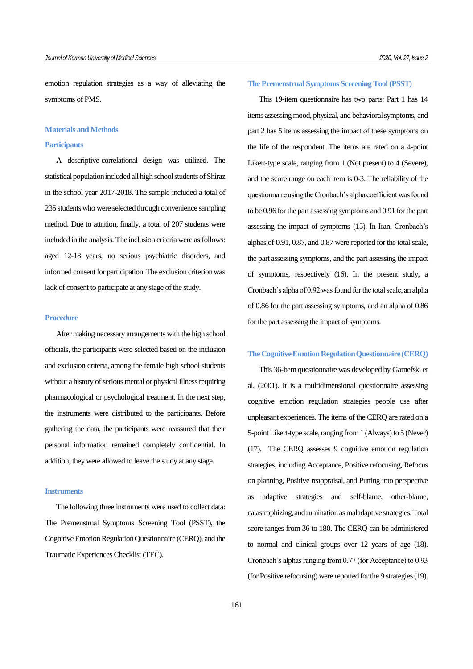emotion regulation strategies as a way of alleviating the symptoms of PMS.

### **Materials and Methods**

#### **Participants**

A descriptive-correlational design was utilized. The statistical population included all high school students of Shiraz in the school year 2017-2018. The sample included a total of 235 students who were selected through convenience sampling method. Due to attrition, finally, a total of 207 students were included in the analysis. The inclusion criteria were as follows: aged 12-18 years, no serious psychiatric disorders, and informed consent for participation. The exclusion criterion was lack of consent to participate at any stage of the study.

## **Procedure**

After making necessary arrangements with the high school officials, the participants were selected based on the inclusion and exclusion criteria, among the female high school students without a history of serious mental or physical illness requiring pharmacological or psychological treatment. In the next step, the instruments were distributed to the participants. Before gathering the data, the participants were reassured that their personal information remained completely confidential. In addition, they were allowed to leave the study at any stage.

#### **Instruments**

The following three instruments were used to collect data: The Premenstrual Symptoms Screening Tool (PSST), the Cognitive Emotion Regulation Questionnaire (CERQ), and the Traumatic Experiences Checklist (TEC).

## **The Premenstrual Symptoms Screening Tool (PSST)**

This 19-item questionnaire has two parts: Part 1 has 14 items assessing mood, physical, and behavioral symptoms, and part 2 has 5 items assessing the impact of these symptoms on the life of the respondent. The items are rated on a 4-point Likert-type scale, ranging from 1 (Not present) to 4 (Severe), and the score range on each item is 0-3. The reliability of the questionnaire using the Cronbach's alpha coefficient was found to be 0.96 for the part assessing symptoms and 0.91 for the part assessing the impact of symptoms (15). In Iran, Cronbach's alphas of 0.91, 0.87, and 0.87 were reported for the total scale, the part assessing symptoms, and the part assessing the impact of symptoms, respectively (16). In the present study, a Cronbach's alpha of 0.92 was found for the total scale, an alpha of 0.86 for the part assessing symptoms, and an alpha of 0.86 for the part assessing the impact of symptoms.

### **The Cognitive Emotion Regulation Questionnaire (CERQ)**

This 36-item questionnaire was developed by Garnefski et al. (2001). It is a multidimensional questionnaire assessing cognitive emotion regulation strategies people use after unpleasant experiences. The items of the CERQ are rated on a 5-point Likert-type scale, ranging from 1 (Always) to 5 (Never) (17). The CERQ assesses 9 cognitive emotion regulation strategies, including Acceptance, Positive refocusing, Refocus on planning, Positive reappraisal, and Putting into perspective as adaptive strategies and self-blame, other-blame, catastrophizing, and rumination as maladaptive strategies. Total score ranges from 36 to 180. The CERQ can be administered to normal and clinical groups over 12 years of age (18). Cronbach's alphas ranging from 0.77 (for Acceptance) to 0.93 (for Positive refocusing) were reported for the 9 strategies (19).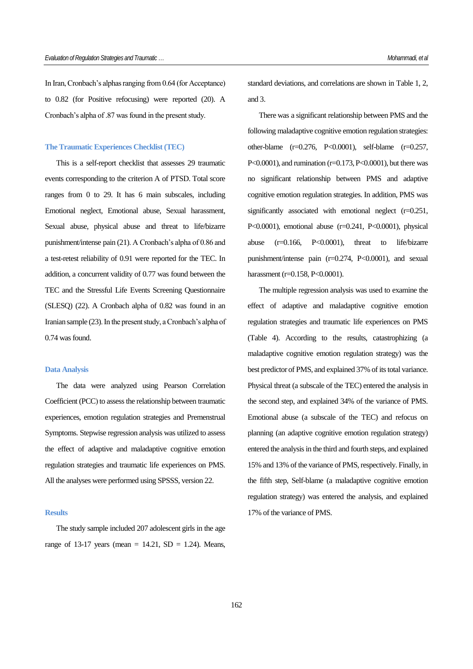In Iran, Cronbach's alphas ranging from 0.64 (for Acceptance) to 0.82 (for Positive refocusing) were reported (20). A Cronbach's alpha of .87 was found in the present study.

#### **The Traumatic Experiences Checklist (TEC)**

This is a self-report checklist that assesses 29 traumatic events corresponding to the criterion A of PTSD. Total score ranges from 0 to 29. It has 6 main subscales, including Emotional neglect, Emotional abuse, Sexual harassment, Sexual abuse, physical abuse and threat to life/bizarre punishment/intense pain (21). A Cronbach's alpha of 0.86 and a test-retest reliability of 0.91 were reported for the TEC. In addition, a concurrent validity of 0.77 was found between the TEC and the Stressful Life Events Screening Questionnaire (SLESQ) (22). A Cronbach alpha of 0.82 was found in an Iranian sample (23). In the present study, a Cronbach's alpha of 0.74 was found.

#### **Data Analysis**

The data were analyzed using Pearson Correlation Coefficient (PCC) to assess the relationship between traumatic experiences, emotion regulation strategies and Premenstrual Symptoms. Stepwise regression analysis was utilized to assess the effect of adaptive and maladaptive cognitive emotion regulation strategies and traumatic life experiences on PMS. All the analyses were performed using SPSSS, version 22.

#### **Results**

The study sample included 207 adolescent girls in the age range of 13-17 years (mean = 14.21,  $SD = 1.24$ ). Means, standard deviations, and correlations are shown in Table 1, 2, and 3.

There was a significant relationship between PMS and the following maladaptive cognitive emotion regulation strategies: other-blame (r=0.276, P<0.0001), self-blame (r=0.257, P<0.0001), and rumination ( $r=0.173$ , P<0.0001), but there was no significant relationship between PMS and adaptive cognitive emotion regulation strategies. In addition, PMS was significantly associated with emotional neglect (r=0.251, P<0.0001), emotional abuse (r=0.241, P<0.0001), physical abuse (r=0.166, P<0.0001), threat to life/bizarre punishment/intense pain (r=0.274, P<0.0001), and sexual harassment (r=0.158, P<0.0001).

The multiple regression analysis was used to examine the effect of adaptive and maladaptive cognitive emotion regulation strategies and traumatic life experiences on PMS (Table 4). According to the results, catastrophizing (a maladaptive cognitive emotion regulation strategy) was the best predictor of PMS, and explained 37% of its total variance. Physical threat (a subscale of the TEC) entered the analysis in the second step, and explained 34% of the variance of PMS. Emotional abuse (a subscale of the TEC) and refocus on planning (an adaptive cognitive emotion regulation strategy) entered the analysis in the third and fourth steps, and explained 15% and 13% of the variance of PMS, respectively. Finally, in the fifth step, Self-blame (a maladaptive cognitive emotion regulation strategy) was entered the analysis, and explained 17% of the variance of PMS.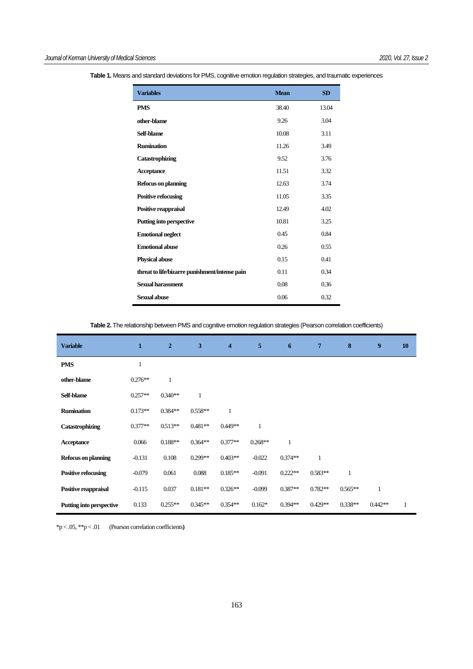| <b>Variables</b>                               | <b>Mean</b> | <b>SD</b> |
|------------------------------------------------|-------------|-----------|
| <b>PMS</b>                                     | 38.40       | 13.04     |
| other-blame                                    | 9.26        | 3.04      |
| Self-blame                                     | 10.08       | 3.11      |
| <b>Rumination</b>                              | 11.26       | 3.49      |
| <b>Catastrophizing</b>                         | 9.52        | 3.76      |
| <b>Acceptance</b>                              | 11.51       | 3.32      |
| <b>Refocus on planning</b>                     | 12.63       | 3.74      |
| <b>Positive refocusing</b>                     | 11.05       | 3.35      |
| Positive reappraisal                           | 12.49       | 4.02      |
| <b>Putting into perspective</b>                | 10.81       | 3.25      |
| <b>Emotional neglect</b>                       | 0.45        | 0.84      |
| <b>Emotional abuse</b>                         | 0.26        | 0.55      |
| <b>Physical abuse</b>                          | 0.15        | 0.41      |
| threat to life/bizarre punishment/intense pain | 0.11        | 0.34      |
| Sexual harassment                              | 0.08        | 0.36      |
| Sexual abuse                                   | 0.06        | 0.32      |

**Table 1.** Means and standard deviations for PMS, cognitive emotion regulation strategies, and traumatic experiences

**Table 2.** The relationship between PMS and cognitive emotion regulation strategies (Pearson correlation coefficients)

| <b>Variable</b>                 | $\mathbf{1}$ | $\overline{2}$ | 3         | $\overline{\bf{4}}$ | 5         | 6            | $\overline{7}$ | 8            | 9            | <b>10</b>    |
|---------------------------------|--------------|----------------|-----------|---------------------|-----------|--------------|----------------|--------------|--------------|--------------|
| <b>PMS</b>                      |              |                |           |                     |           |              |                |              |              |              |
| other-blame                     | $0.276**$    | $\mathbf{1}$   |           |                     |           |              |                |              |              |              |
| Self-blame                      | $0.257**$    | $0.340**$      | 1         |                     |           |              |                |              |              |              |
| <b>Rumination</b>               | $0.173**$    | $0.384**$      | $0.558**$ | 1                   |           |              |                |              |              |              |
| <b>Catastrophizing</b>          | $0.377**$    | $0.513**$      | $0.481**$ | $0.449**$           | 1         |              |                |              |              |              |
| Acceptance                      | 0.066        | $0.188**$      | $0.364**$ | $0.377**$           | $0.268**$ | $\mathbf{1}$ |                |              |              |              |
| <b>Refocus on planning</b>      | $-0.131$     | 0.108          | $0.299**$ | $0.403**$           | $-0.022$  | $0.374**$    | $\mathbf{1}$   |              |              |              |
| <b>Positive refocusing</b>      | $-0.079$     | 0.061          | 0.088     | $0.185**$           | $-0.091$  | $0.222**$    | $0.583**$      | $\mathbf{1}$ |              |              |
| Positive reappraisal            | $-0.115$     | 0.037          | $0.181**$ | $0.326**$           | $-0.099$  | $0.387**$    | $0.782**$      | $0.565**$    | $\mathbf{1}$ |              |
| <b>Putting into perspective</b> | 0.133        | $0.255**$      | $0.345**$ | $0.354**$           | $0.162*$  | $0.394**$    | $0.429**$      | $0.338**$    | $0.442**$    | $\mathbf{1}$ |

\*p < .05, \*\*p < .01 (Pearson correlation coefficients**)**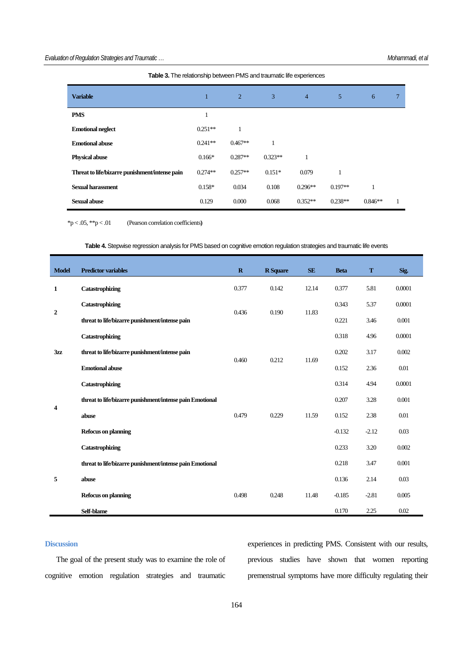| <b>Variable</b>                                | 1         | $\overline{2}$ | 3         | $\overline{4}$ | 5         | 6         | 7 |
|------------------------------------------------|-----------|----------------|-----------|----------------|-----------|-----------|---|
| <b>PMS</b>                                     | 1         |                |           |                |           |           |   |
| <b>Emotional neglect</b>                       | $0.251**$ | 1              |           |                |           |           |   |
| <b>Emotional abuse</b>                         | $0.241**$ | $0.467**$      | 1         |                |           |           |   |
| <b>Physical abuse</b>                          | $0.166*$  | $0.287**$      | $0.323**$ |                |           |           |   |
| Threat to life/bizarre punishment/intense pain | $0.274**$ | $0.257**$      | $0.151*$  | 0.079          | 1         |           |   |
| <b>Sexual harassment</b>                       | $0.158*$  | 0.034          | 0.108     | $0.296**$      | $0.197**$ | 1         |   |
| <b>Sexual abuse</b>                            | 0.129     | 0.000          | 0.068     | $0.352**$      | $0.238**$ | $0.846**$ | 1 |

| Table 3. The relationship between PMS and traumatic life experiences |  |  |  |  |  |  |
|----------------------------------------------------------------------|--|--|--|--|--|--|
|----------------------------------------------------------------------|--|--|--|--|--|--|

\*p < .05, \*\*p < .01 (Pearson correlation coefficients**)**

**Table 4.** Stepwise regression analysis for PMS based on cognitive emotion regulation strategies and traumatic life events

| <b>Model</b>     | <b>Predictor variables</b>                               | $\mathbf R$ | <b>R</b> Square | <b>SE</b> | <b>Beta</b> | T       | Sig.   |
|------------------|----------------------------------------------------------|-------------|-----------------|-----------|-------------|---------|--------|
| 1                | Catastrophizing                                          | 0.377       | 0.142           | 12.14     | 0.377       | 5.81    | 0.0001 |
| $\boldsymbol{2}$ | Catastrophizing                                          |             | 0.190           | 11.83     | 0.343       | 5.37    | 0.0001 |
|                  | threat to life/bizarre punishment/intense pain           | 0.436       |                 |           | 0.221       | 3.46    | 0.001  |
| 3zz              | Catastrophizing                                          |             |                 |           | 0.318       | 4.96    | 0.0001 |
|                  | threat to life/bizarre punishment/intense pain           |             | 0.212           | 11.69     | 0.202       | 3.17    | 0.002  |
|                  | <b>Emotional abuse</b>                                   | 0.460       |                 |           | 0.152       | 2.36    | 0.01   |
| 4                | Catastrophizing                                          |             |                 |           | 0.314       | 4.94    | 0.0001 |
|                  | threat to life/bizarre punishment/intense pain Emotional |             |                 |           | 0.207       | 3.28    | 0.001  |
|                  | abuse                                                    | 0.479       | 0.229           | 11.59     | 0.152       | 2.38    | 0.01   |
|                  | <b>Refocus on planning</b>                               |             |                 |           | $-0.132$    | $-2.12$ | 0.03   |
|                  | Catastrophizing                                          |             |                 |           | 0.233       | 3.20    | 0.002  |
| 5                | threat to life/bizarre punishment/intense pain Emotional |             |                 |           | 0.218       | 3.47    | 0.001  |
|                  | abuse                                                    |             |                 |           | 0.136       | 2.14    | 0.03   |
|                  | <b>Refocus on planning</b>                               | 0.498       | 0.248           | 11.48     | $-0.185$    | $-2.81$ | 0.005  |
|                  | Self-blame                                               |             |                 |           | 0.170       | 2.25    | 0.02   |

## **Discussion**

The goal of the present study was to examine the role of cognitive emotion regulation strategies and traumatic experiences in predicting PMS. Consistent with our results, previous studies have shown that women reporting premenstrual symptoms have more difficulty regulating their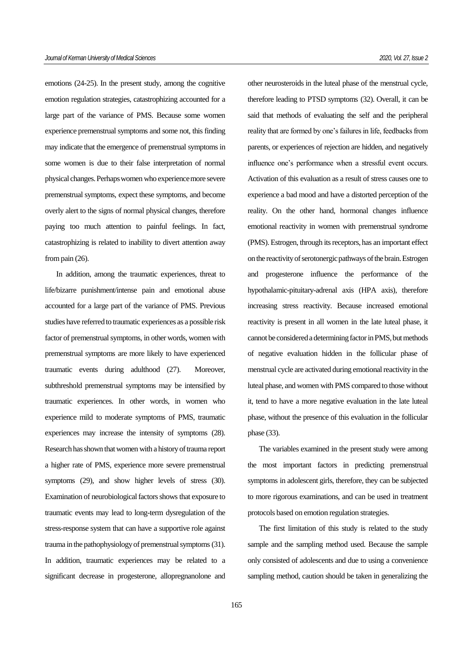emotions (24-25). In the present study, among the cognitive emotion regulation strategies, catastrophizing accounted for a large part of the variance of PMS. Because some women experience premenstrual symptoms and some not, this finding may indicate that the emergence of premenstrual symptoms in some women is due to their false interpretation of normal physical changes. Perhaps women who experience more severe premenstrual symptoms, expect these symptoms, and become overly alert to the signs of normal physical changes, therefore paying too much attention to painful feelings. In fact, catastrophizing is related to inability to divert attention away from pain  $(26)$ .

In addition, among the traumatic experiences, threat to life/bizarre punishment/intense pain and emotional abuse accounted for a large part of the variance of PMS. Previous studies have referred to traumatic experiences as a possible risk factor of premenstrual symptoms, in other words, women with premenstrual symptoms are more likely to have experienced traumatic events during adulthood (27). Moreover, subthreshold premenstrual symptoms may be intensified by traumatic experiences. In other words, in women who experience mild to moderate symptoms of PMS, traumatic experiences may increase the intensity of symptoms (28). Research has shown that women with a history of trauma report a higher rate of PMS, experience more severe premenstrual symptoms (29), and show higher levels of stress (30). Examination of neurobiological factors shows that exposure to traumatic events may lead to long-term dysregulation of the stress-response system that can have a supportive role against trauma in the pathophysiology of premenstrual symptoms (31). In addition, traumatic experiences may be related to a significant decrease in progesterone, allopregnanolone and other neurosteroids in the luteal phase of the menstrual cycle, therefore leading to PTSD symptoms (32). Overall, it can be said that methods of evaluating the self and the peripheral reality that are formed by one's failures in life, feedbacks from parents, or experiences of rejection are hidden, and negatively influence one's performance when a stressful event occurs. Activation of this evaluation as a result of stress causes one to experience a bad mood and have a distorted perception of the reality. On the other hand, hormonal changes influence emotional reactivity in women with premenstrual syndrome (PMS). Estrogen, through its receptors, has an important effect on the reactivity of serotonergic pathways of the brain. Estrogen and progesterone influence the performance of the hypothalamic-pituitary-adrenal axis (HPA axis), therefore increasing stress reactivity. Because increased emotional reactivity is present in all women in the late luteal phase, it cannot be considered a determining factor in PMS, but methods of negative evaluation hidden in the follicular phase of menstrual cycle are activated during emotional reactivity in the luteal phase, and women with PMS compared to those without it, tend to have a more negative evaluation in the late luteal phase, without the presence of this evaluation in the follicular phase (33).

The variables examined in the present study were among the most important factors in predicting premenstrual symptoms in adolescent girls, therefore, they can be subjected to more rigorous examinations, and can be used in treatment protocols based on emotion regulation strategies.

The first limitation of this study is related to the study sample and the sampling method used. Because the sample only consisted of adolescents and due to using a convenience sampling method, caution should be taken in generalizing the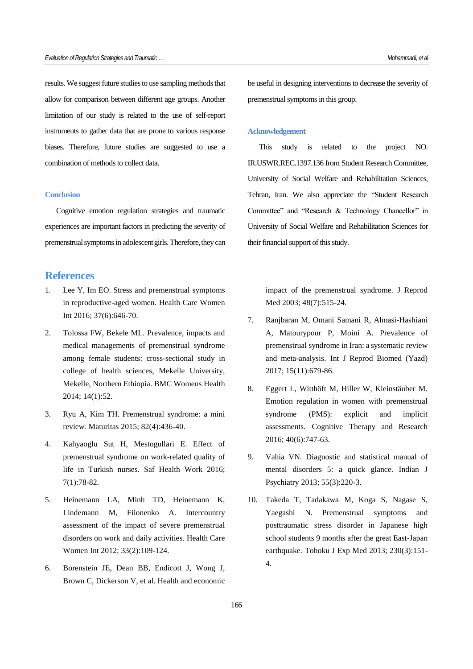results. We suggest future studies to use sampling methods that allow for comparison between different age groups. Another limitation of our study is related to the use of self-report instruments to gather data that are prone to various response biases. Therefore, future studies are suggested to use a combination of methods to collect data.

## **Conclusion**

Cognitive emotion regulation strategies and traumatic experiences are important factors in predicting the severity of premenstrual symptoms in adolescent girls. Therefore, they can

## **References**

- 1. Lee Y, Im EO. Stress and premenstrual symptoms in reproductive-aged women. Health Care Women Int 2016; 37(6):646-70.
- 2. Tolossa FW, Bekele ML. Prevalence, impacts and medical managements of premenstrual syndrome among female students: cross-sectional study in college of health sciences, Mekelle University, Mekelle, Northern Ethiopia. BMC Womens Health 2014; 14(1):52.
- 3. Ryu A, Kim TH. Premenstrual syndrome: a mini review. Maturitas 2015; 82(4):436-40.
- 4. Kahyaoglu Sut H, Mestogullari E. Effect of premenstrual syndrome on work-related quality of life in Turkish nurses. Saf Health Work 2016; 7(1):78-82.
- 5. Heinemann LA, Minh TD, Heinemann K, Lindemann M, Filonenko A. Intercountry assessment of the impact of severe premenstrual disorders on work and daily activities. Health Care Women Int 2012; 33(2):109-124.
- 6. Borenstein JE, Dean BB, Endicott J, Wong J, Brown C, Dickerson V, et al. Health and economic

be useful in designing interventions to decrease the severity of premenstrual symptoms in this group.

#### **Acknowledgement**

This study is related to the project NO. IR.USWR.REC.1397.136 from Student Research Committee, University of Social Welfare and Rehabilitation Sciences, Tehran, Iran. We also appreciate the "Student Research Committee" and "Research & Technology Chancellor" in University of Social Welfare and Rehabilitation Sciences for their financial support of this study.

impact of the premenstrual syndrome. J Reprod Med 2003; 48(7):515-24.

- 7. Ranjbaran M, Omani Samani R, Almasi-Hashiani A, Matourypour P, Moini A. Prevalence of premenstrual syndrome in Iran: a systematic review and meta-analysis. Int J Reprod Biomed (Yazd) 2017; 15(11):679-86.
- 8. Eggert L, Witthöft M, Hiller W, Kleinstäuber M. Emotion regulation in women with premenstrual syndrome (PMS): explicit and implicit assessments. Cognitive Therapy and Research 2016; 40(6):747-63.
- 9. Vahia VN. Diagnostic and statistical manual of mental disorders 5: a quick glance. Indian J Psychiatry 2013; 55(3):220-3.
- 10. Takeda T, Tadakawa M, Koga S, Nagase S, Yaegashi N. Premenstrual symptoms and posttraumatic stress disorder in Japanese high school students 9 months after the great East-Japan earthquake. Tohoku J Exp Med 2013; 230(3):151- 4.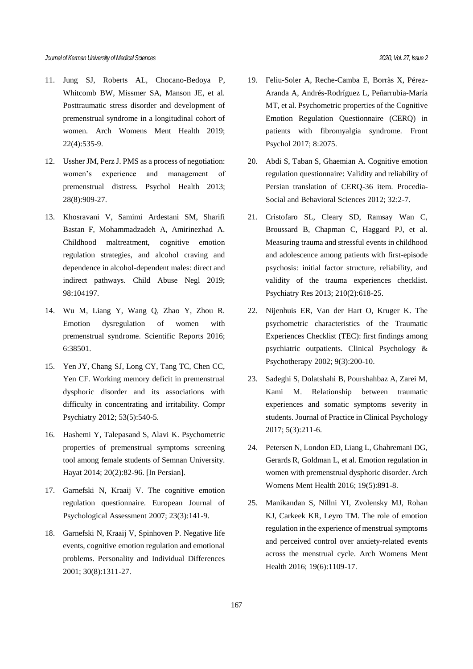- 11. Jung SJ, Roberts AL, Chocano-Bedoya P, Whitcomb BW, Missmer SA, Manson JE, et al. Posttraumatic stress disorder and development of premenstrual syndrome in a longitudinal cohort of women. Arch Womens Ment Health 2019; 22(4):535-9.
- 12. Ussher JM, Perz J. PMS as a process of negotiation: women's experience and management of premenstrual distress. Psychol Health 2013; 28(8):909-27.
- 13. Khosravani V, Samimi Ardestani SM, Sharifi Bastan F, Mohammadzadeh A, Amirinezhad A. Childhood maltreatment, cognitive emotion regulation strategies, and alcohol craving and dependence in alcohol-dependent males: direct and indirect pathways. Child Abuse Negl 2019; 98:104197.
- 14. Wu M, Liang Y, Wang Q, Zhao Y, Zhou R. Emotion dysregulation of women with premenstrual syndrome. Scientific Reports 2016; 6:38501.
- 15. Yen JY, Chang SJ, Long CY, Tang TC, Chen CC, Yen CF. Working memory deficit in premenstrual dysphoric disorder and its associations with difficulty in concentrating and irritability. Compr Psychiatry 2012; 53(5):540-5.
- 16. Hashemi Y, Talepasand S, Alavi K. Psychometric properties of premenstrual symptoms screening tool among female students of Semnan University. Hayat 2014; 20(2):82-96. [In Persian].
- 17. Garnefski N, Kraaij V. The cognitive emotion regulation questionnaire. European Journal of Psychological Assessment 2007; 23(3):141-9.
- 18. Garnefski N, Kraaij V, Spinhoven P. Negative life events, cognitive emotion regulation and emotional problems. Personality and Individual Differences 2001; 30(8):1311-27.
- 19. Feliu-Soler A, Reche-Camba E, Borràs X, Pérez-Aranda A, Andrés-Rodríguez L, Peñarrubia-María MT, et al. Psychometric properties of the Cognitive Emotion Regulation Questionnaire (CERQ) in patients with fibromyalgia syndrome. Front Psychol 2017; 8:2075.
- 20. Abdi S, Taban S, Ghaemian A. Cognitive emotion regulation questionnaire: Validity and reliability of Persian translation of CERQ-36 item. Procedia-Social and Behavioral Sciences 2012; 32:2-7.
- 21. Cristofaro SL, Cleary SD, Ramsay Wan C, Broussard B, Chapman C, Haggard PJ, et al. Measuring trauma and stressful events in childhood and adolescence among patients with first-episode psychosis: initial factor structure, reliability, and validity of the trauma experiences checklist. Psychiatry Res 2013; 210(2):618-25.
- 22. Nijenhuis ER, Van der Hart O, Kruger K. The psychometric characteristics of the Traumatic Experiences Checklist (TEC): first findings among psychiatric outpatients. Clinical Psychology & Psychotherapy 2002; 9(3):200-10.
- 23. Sadeghi S, Dolatshahi B, Pourshahbaz A, Zarei M, Kami M. Relationship between traumatic experiences and somatic symptoms severity in students. Journal of Practice in Clinical Psychology 2017; 5(3):211-6.
- 24. Petersen N, London ED, Liang L, Ghahremani DG, Gerards R, Goldman L, et al. Emotion regulation in women with premenstrual dysphoric disorder. Arch Womens Ment Health 2016; 19(5):891-8.
- 25. Manikandan S, Nillni YI, Zvolensky MJ, Rohan KJ, Carkeek KR, Leyro TM. The role of emotion regulation in the experience of menstrual symptoms and perceived control over anxiety-related events across the menstrual cycle. Arch Womens Ment Health 2016; 19(6):1109-17.